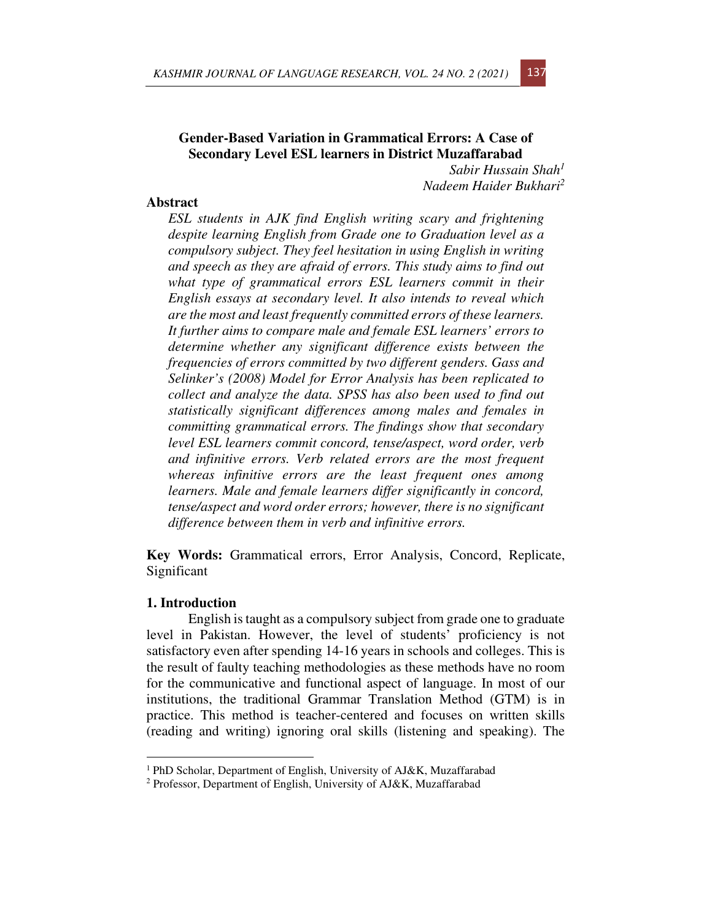# **Gender-Based Variation in Grammatical Errors: A Case of Secondary Level ESL learners in District Muzaffarabad**

*Sabir Hussain Shah<sup>1</sup> Nadeem Haider Bukhari<sup>2</sup>*

#### **Abstract**

*ESL students in AJK find English writing scary and frightening despite learning English from Grade one to Graduation level as a compulsory subject. They feel hesitation in using English in writing and speech as they are afraid of errors. This study aims to find out what type of grammatical errors ESL learners commit in their English essays at secondary level. It also intends to reveal which are the most and least frequently committed errors of these learners. It further aims to compare male and female ESL learners' errors to determine whether any significant difference exists between the frequencies of errors committed by two different genders. Gass and Selinker's (2008) Model for Error Analysis has been replicated to collect and analyze the data. SPSS has also been used to find out statistically significant differences among males and females in committing grammatical errors. The findings show that secondary level ESL learners commit concord, tense/aspect, word order, verb and infinitive errors. Verb related errors are the most frequent whereas infinitive errors are the least frequent ones among learners. Male and female learners differ significantly in concord, tense/aspect and word order errors; however, there is no significant difference between them in verb and infinitive errors.* 

**Key Words:** Grammatical errors, Error Analysis, Concord, Replicate, Significant

## **1. Introduction**

English is taught as a compulsory subject from grade one to graduate level in Pakistan. However, the level of students' proficiency is not satisfactory even after spending 14-16 years in schools and colleges. This is the result of faulty teaching methodologies as these methods have no room for the communicative and functional aspect of language. In most of our institutions, the traditional Grammar Translation Method (GTM) is in practice. This method is teacher-centered and focuses on written skills (reading and writing) ignoring oral skills (listening and speaking). The

<sup>1</sup> PhD Scholar, Department of English, University of AJ&K, Muzaffarabad

<sup>&</sup>lt;sup>2</sup> Professor, Department of English, University of AJ&K, Muzaffarabad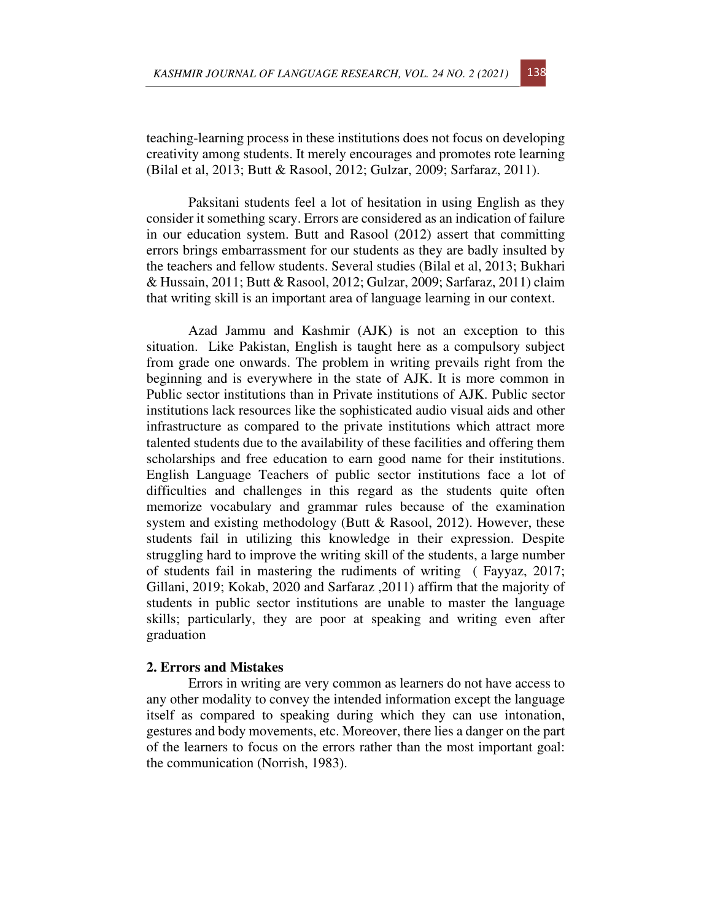teaching-learning process in these institutions does not focus on developing creativity among students. It merely encourages and promotes rote learning (Bilal et al, 2013; Butt & Rasool, 2012; Gulzar, 2009; Sarfaraz, 2011).

Paksitani students feel a lot of hesitation in using English as they consider it something scary. Errors are considered as an indication of failure in our education system. Butt and Rasool (2012) assert that committing errors brings embarrassment for our students as they are badly insulted by the teachers and fellow students. Several studies (Bilal et al, 2013; Bukhari & Hussain, 2011; Butt & Rasool, 2012; Gulzar, 2009; Sarfaraz, 2011) claim that writing skill is an important area of language learning in our context.

Azad Jammu and Kashmir (AJK) is not an exception to this situation. Like Pakistan, English is taught here as a compulsory subject from grade one onwards. The problem in writing prevails right from the beginning and is everywhere in the state of AJK. It is more common in Public sector institutions than in Private institutions of AJK. Public sector institutions lack resources like the sophisticated audio visual aids and other infrastructure as compared to the private institutions which attract more talented students due to the availability of these facilities and offering them scholarships and free education to earn good name for their institutions. English Language Teachers of public sector institutions face a lot of difficulties and challenges in this regard as the students quite often memorize vocabulary and grammar rules because of the examination system and existing methodology (Butt & Rasool, 2012). However, these students fail in utilizing this knowledge in their expression. Despite struggling hard to improve the writing skill of the students, a large number of students fail in mastering the rudiments of writing ( Fayyaz, 2017; Gillani, 2019; Kokab, 2020 and Sarfaraz ,2011) affirm that the majority of students in public sector institutions are unable to master the language skills; particularly, they are poor at speaking and writing even after graduation

# **2. Errors and Mistakes**

Errors in writing are very common as learners do not have access to any other modality to convey the intended information except the language itself as compared to speaking during which they can use intonation, gestures and body movements, etc. Moreover, there lies a danger on the part of the learners to focus on the errors rather than the most important goal: the communication (Norrish, 1983).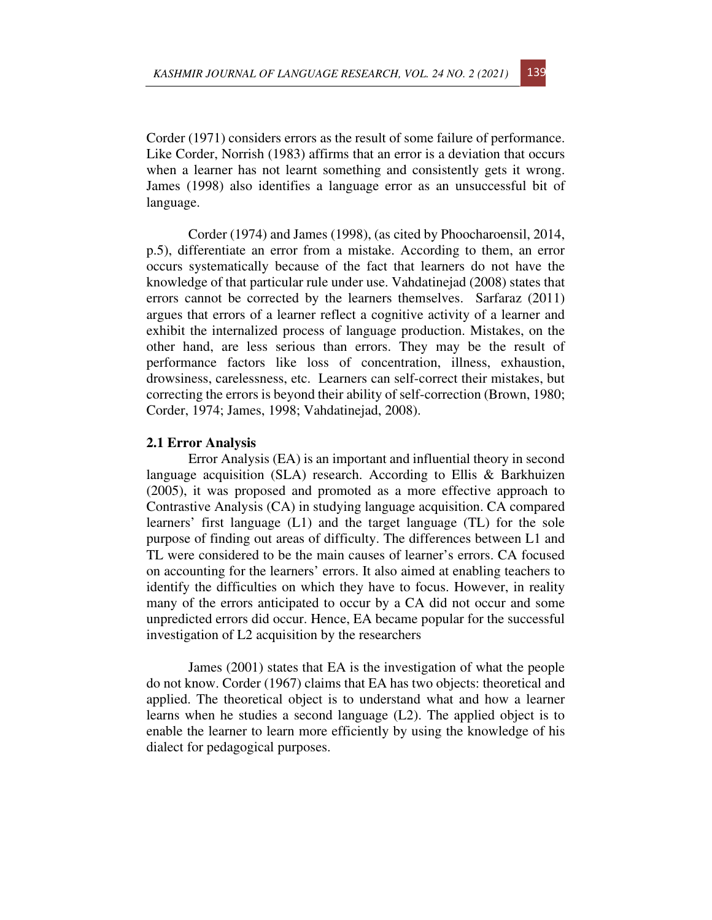Corder (1971) considers errors as the result of some failure of performance. Like Corder, Norrish (1983) affirms that an error is a deviation that occurs when a learner has not learnt something and consistently gets it wrong. James (1998) also identifies a language error as an unsuccessful bit of language.

Corder (1974) and James (1998), (as cited by Phoocharoensil, 2014, p.5), differentiate an error from a mistake. According to them, an error occurs systematically because of the fact that learners do not have the knowledge of that particular rule under use. Vahdatinejad (2008) states that errors cannot be corrected by the learners themselves. Sarfaraz (2011) argues that errors of a learner reflect a cognitive activity of a learner and exhibit the internalized process of language production. Mistakes, on the other hand, are less serious than errors. They may be the result of performance factors like loss of concentration, illness, exhaustion, drowsiness, carelessness, etc. Learners can self-correct their mistakes, but correcting the errors is beyond their ability of self-correction (Brown, 1980; Corder, 1974; James, 1998; Vahdatinejad, 2008).

## **2.1 Error Analysis**

Error Analysis (EA) is an important and influential theory in second language acquisition (SLA) research. According to Ellis & Barkhuizen (2005), it was proposed and promoted as a more effective approach to Contrastive Analysis (CA) in studying language acquisition. CA compared learners' first language (L1) and the target language (TL) for the sole purpose of finding out areas of difficulty. The differences between L1 and TL were considered to be the main causes of learner's errors. CA focused on accounting for the learners' errors. It also aimed at enabling teachers to identify the difficulties on which they have to focus. However, in reality many of the errors anticipated to occur by a CA did not occur and some unpredicted errors did occur. Hence, EA became popular for the successful investigation of L2 acquisition by the researchers

James (2001) states that EA is the investigation of what the people do not know. Corder (1967) claims that EA has two objects: theoretical and applied. The theoretical object is to understand what and how a learner learns when he studies a second language (L2). The applied object is to enable the learner to learn more efficiently by using the knowledge of his dialect for pedagogical purposes.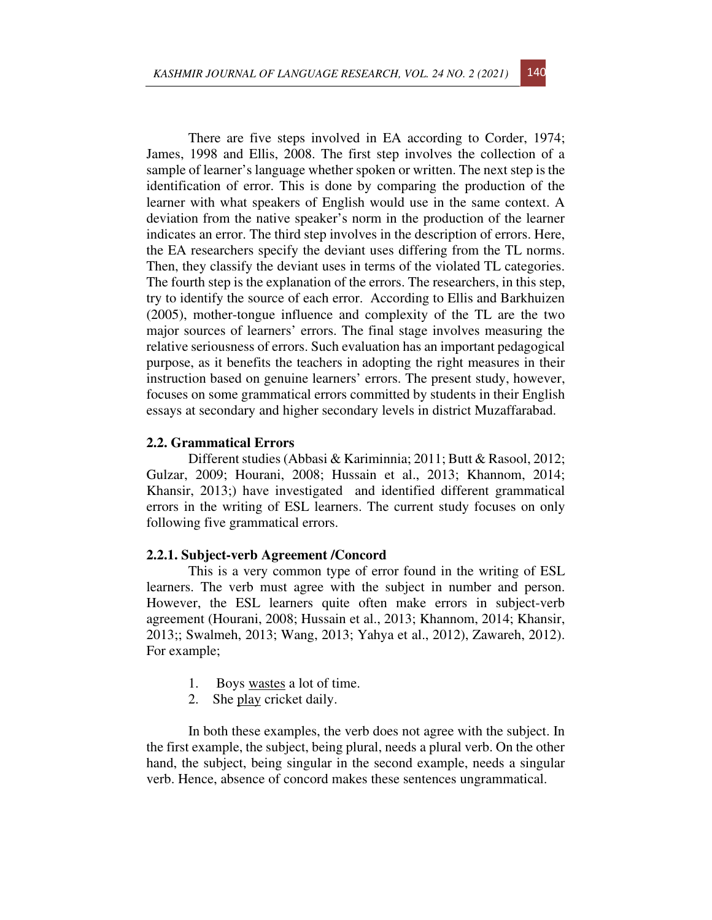There are five steps involved in EA according to Corder, 1974; James, 1998 and Ellis, 2008. The first step involves the collection of a sample of learner's language whether spoken or written. The next step is the identification of error. This is done by comparing the production of the learner with what speakers of English would use in the same context. A deviation from the native speaker's norm in the production of the learner indicates an error. The third step involves in the description of errors. Here, the EA researchers specify the deviant uses differing from the TL norms. Then, they classify the deviant uses in terms of the violated TL categories. The fourth step is the explanation of the errors. The researchers, in this step, try to identify the source of each error. According to Ellis and Barkhuizen (2005), mother-tongue influence and complexity of the TL are the two major sources of learners' errors. The final stage involves measuring the relative seriousness of errors. Such evaluation has an important pedagogical purpose, as it benefits the teachers in adopting the right measures in their instruction based on genuine learners' errors. The present study, however, focuses on some grammatical errors committed by students in their English essays at secondary and higher secondary levels in district Muzaffarabad.

# **2.2. Grammatical Errors**

Different studies (Abbasi & Kariminnia; 2011; Butt & Rasool, 2012; Gulzar, 2009; Hourani, 2008; Hussain et al., 2013; Khannom, 2014; Khansir, 2013;) have investigated and identified different grammatical errors in the writing of ESL learners. The current study focuses on only following five grammatical errors.

#### **2.2.1. Subject-verb Agreement /Concord**

This is a very common type of error found in the writing of ESL learners. The verb must agree with the subject in number and person. However, the ESL learners quite often make errors in subject-verb agreement (Hourani, 2008; Hussain et al., 2013; Khannom, 2014; Khansir, 2013;; Swalmeh, 2013; Wang, 2013; Yahya et al., 2012), Zawareh, 2012). For example;

- 1. Boys wastes a lot of time.
- 2. She play cricket daily.

In both these examples, the verb does not agree with the subject. In the first example, the subject, being plural, needs a plural verb. On the other hand, the subject, being singular in the second example, needs a singular verb. Hence, absence of concord makes these sentences ungrammatical.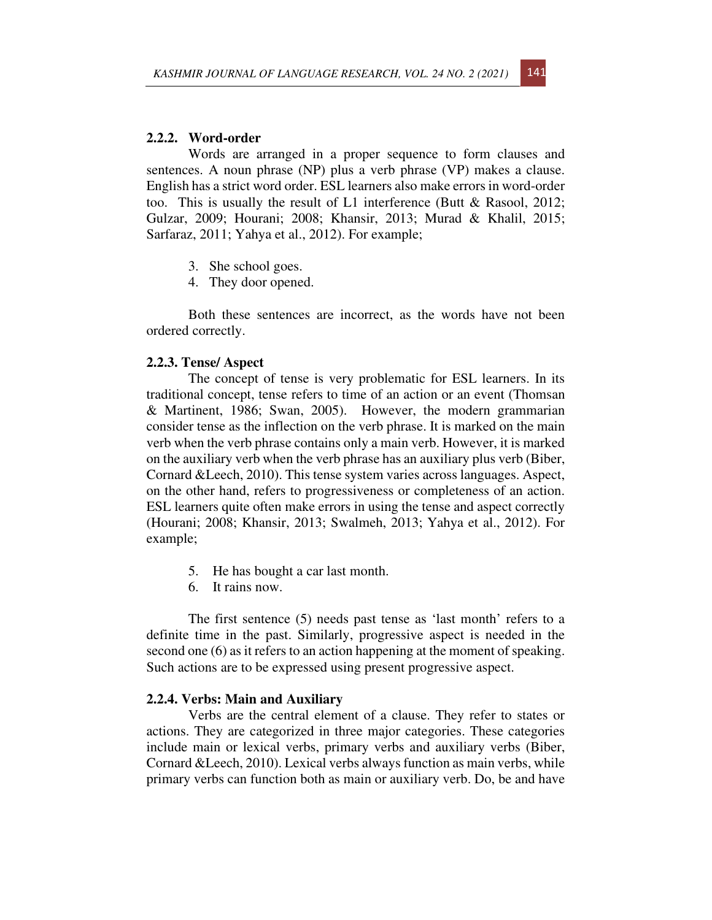#### **2.2.2. Word-order**

Words are arranged in a proper sequence to form clauses and sentences. A noun phrase (NP) plus a verb phrase (VP) makes a clause. English has a strict word order. ESL learners also make errors in word-order too. This is usually the result of L1 interference (Butt & Rasool, 2012; Gulzar, 2009; Hourani; 2008; Khansir, 2013; Murad & Khalil, 2015; Sarfaraz, 2011; Yahya et al., 2012). For example;

- 3. She school goes.
- 4. They door opened.

Both these sentences are incorrect, as the words have not been ordered correctly.

### **2.2.3. Tense/ Aspect**

The concept of tense is very problematic for ESL learners. In its traditional concept, tense refers to time of an action or an event (Thomsan & Martinent, 1986; Swan, 2005). However, the modern grammarian consider tense as the inflection on the verb phrase. It is marked on the main verb when the verb phrase contains only a main verb. However, it is marked on the auxiliary verb when the verb phrase has an auxiliary plus verb (Biber, Cornard &Leech, 2010). This tense system varies across languages. Aspect, on the other hand, refers to progressiveness or completeness of an action. ESL learners quite often make errors in using the tense and aspect correctly (Hourani; 2008; Khansir, 2013; Swalmeh, 2013; Yahya et al., 2012). For example;

- 5. He has bought a car last month.
- 6. It rains now.

The first sentence (5) needs past tense as 'last month' refers to a definite time in the past. Similarly, progressive aspect is needed in the second one (6) as it refers to an action happening at the moment of speaking. Such actions are to be expressed using present progressive aspect.

#### **2.2.4. Verbs: Main and Auxiliary**

Verbs are the central element of a clause. They refer to states or actions. They are categorized in three major categories. These categories include main or lexical verbs, primary verbs and auxiliary verbs (Biber, Cornard &Leech, 2010). Lexical verbs always function as main verbs, while primary verbs can function both as main or auxiliary verb. Do, be and have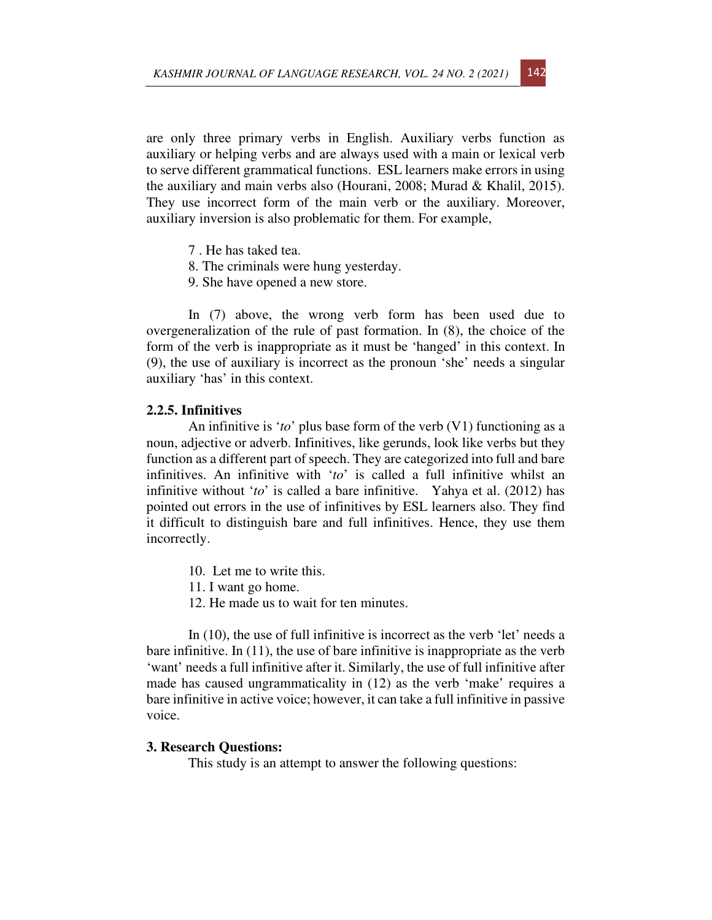are only three primary verbs in English. Auxiliary verbs function as auxiliary or helping verbs and are always used with a main or lexical verb to serve different grammatical functions. ESL learners make errors in using the auxiliary and main verbs also (Hourani, 2008; Murad & Khalil, 2015). They use incorrect form of the main verb or the auxiliary. Moreover, auxiliary inversion is also problematic for them. For example,

- 7 . He has taked tea.
- 8. The criminals were hung yesterday.
- 9. She have opened a new store.

In (7) above, the wrong verb form has been used due to overgeneralization of the rule of past formation. In (8), the choice of the form of the verb is inappropriate as it must be 'hanged' in this context. In (9), the use of auxiliary is incorrect as the pronoun 'she' needs a singular auxiliary 'has' in this context.

## **2.2.5. Infinitives**

An infinitive is '*to*' plus base form of the verb (V1) functioning as a noun, adjective or adverb. Infinitives, like gerunds, look like verbs but they function as a different part of speech. They are categorized into full and bare infinitives. An infinitive with '*to*' is called a full infinitive whilst an infinitive without '*to*' is called a bare infinitive. Yahya et al. (2012) has pointed out errors in the use of infinitives by ESL learners also. They find it difficult to distinguish bare and full infinitives. Hence, they use them incorrectly.

- 10. Let me to write this.
- 11. I want go home.
- 12. He made us to wait for ten minutes.

In (10), the use of full infinitive is incorrect as the verb 'let' needs a bare infinitive. In (11), the use of bare infinitive is inappropriate as the verb 'want' needs a full infinitive after it. Similarly, the use of full infinitive after made has caused ungrammaticality in (12) as the verb 'make' requires a bare infinitive in active voice; however, it can take a full infinitive in passive voice.

### **3. Research Questions:**

This study is an attempt to answer the following questions: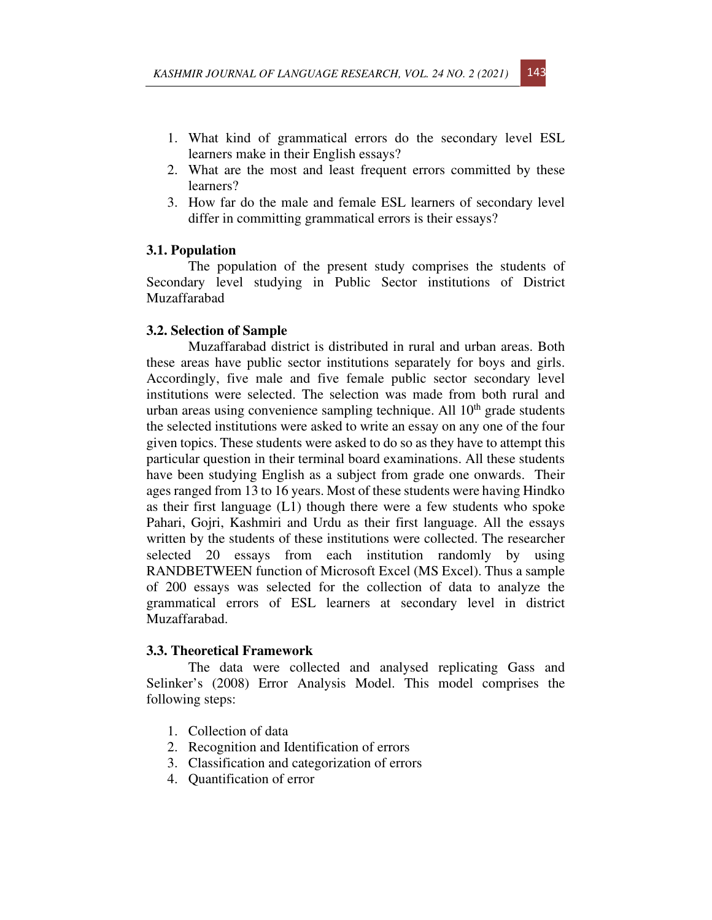- 1. What kind of grammatical errors do the secondary level ESL learners make in their English essays?
- 2. What are the most and least frequent errors committed by these learners?
- 3. How far do the male and female ESL learners of secondary level differ in committing grammatical errors is their essays?

# **3.1. Population**

The population of the present study comprises the students of Secondary level studying in Public Sector institutions of District Muzaffarabad

#### **3.2. Selection of Sample**

Muzaffarabad district is distributed in rural and urban areas. Both these areas have public sector institutions separately for boys and girls. Accordingly, five male and five female public sector secondary level institutions were selected. The selection was made from both rural and urban areas using convenience sampling technique. All  $10<sup>th</sup>$  grade students the selected institutions were asked to write an essay on any one of the four given topics. These students were asked to do so as they have to attempt this particular question in their terminal board examinations. All these students have been studying English as a subject from grade one onwards. Their ages ranged from 13 to 16 years. Most of these students were having Hindko as their first language (L1) though there were a few students who spoke Pahari, Gojri, Kashmiri and Urdu as their first language. All the essays written by the students of these institutions were collected. The researcher selected 20 essays from each institution randomly by using RANDBETWEEN function of Microsoft Excel (MS Excel). Thus a sample of 200 essays was selected for the collection of data to analyze the grammatical errors of ESL learners at secondary level in district Muzaffarabad.

## **3.3. Theoretical Framework**

The data were collected and analysed replicating Gass and Selinker's (2008) Error Analysis Model. This model comprises the following steps:

- 1. Collection of data
- 2. Recognition and Identification of errors
- 3. Classification and categorization of errors
- 4. Quantification of error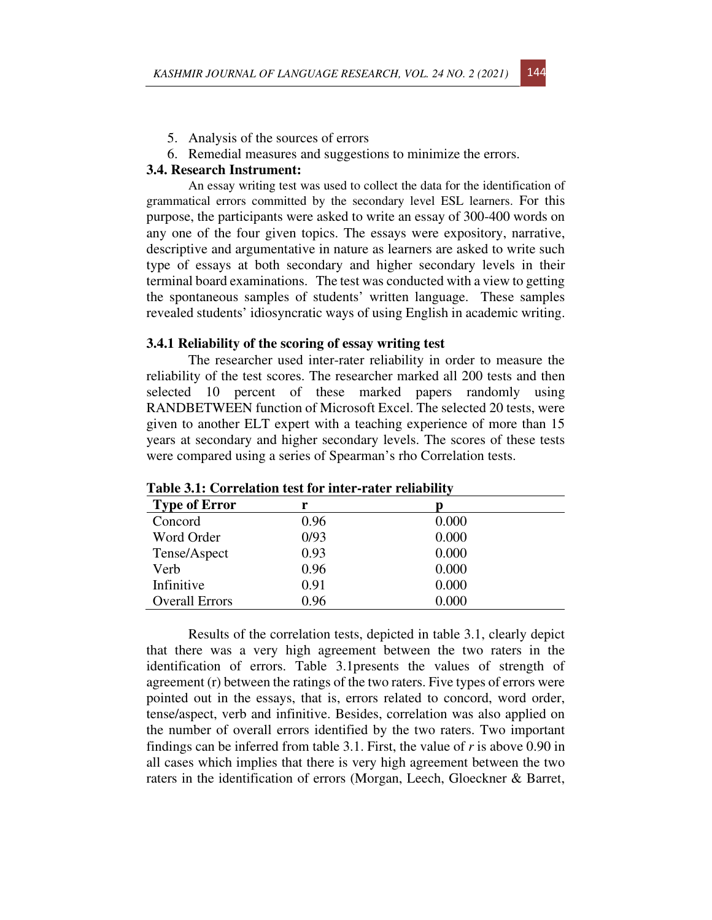- 5. Analysis of the sources of errors
- 6. Remedial measures and suggestions to minimize the errors.

## **3.4. Research Instrument:**

An essay writing test was used to collect the data for the identification of grammatical errors committed by the secondary level ESL learners. For this purpose, the participants were asked to write an essay of 300-400 words on any one of the four given topics. The essays were expository, narrative, descriptive and argumentative in nature as learners are asked to write such type of essays at both secondary and higher secondary levels in their terminal board examinations. The test was conducted with a view to getting the spontaneous samples of students' written language. These samples revealed students' idiosyncratic ways of using English in academic writing.

# **3.4.1 Reliability of the scoring of essay writing test**

The researcher used inter-rater reliability in order to measure the reliability of the test scores. The researcher marked all 200 tests and then selected 10 percent of these marked papers randomly using RANDBETWEEN function of Microsoft Excel. The selected 20 tests, were given to another ELT expert with a teaching experience of more than 15 years at secondary and higher secondary levels. The scores of these tests were compared using a series of Spearman's rho Correlation tests.

| <b>Type of Error</b>  | r    | D     |  |
|-----------------------|------|-------|--|
| Concord               | 0.96 | 0.000 |  |
| Word Order            | 0/93 | 0.000 |  |
| Tense/Aspect          | 0.93 | 0.000 |  |
| Verb                  | 0.96 | 0.000 |  |
| Infinitive            | 0.91 | 0.000 |  |
| <b>Overall Errors</b> | 0.96 | 0.000 |  |

**Table 3.1: Correlation test for inter-rater reliability** 

Results of the correlation tests, depicted in table 3.1, clearly depict that there was a very high agreement between the two raters in the identification of errors. Table 3.1presents the values of strength of agreement (r) between the ratings of the two raters. Five types of errors were pointed out in the essays, that is, errors related to concord, word order, tense/aspect, verb and infinitive. Besides, correlation was also applied on the number of overall errors identified by the two raters. Two important findings can be inferred from table 3.1. First, the value of *r* is above 0.90 in all cases which implies that there is very high agreement between the two raters in the identification of errors (Morgan, Leech, Gloeckner & Barret,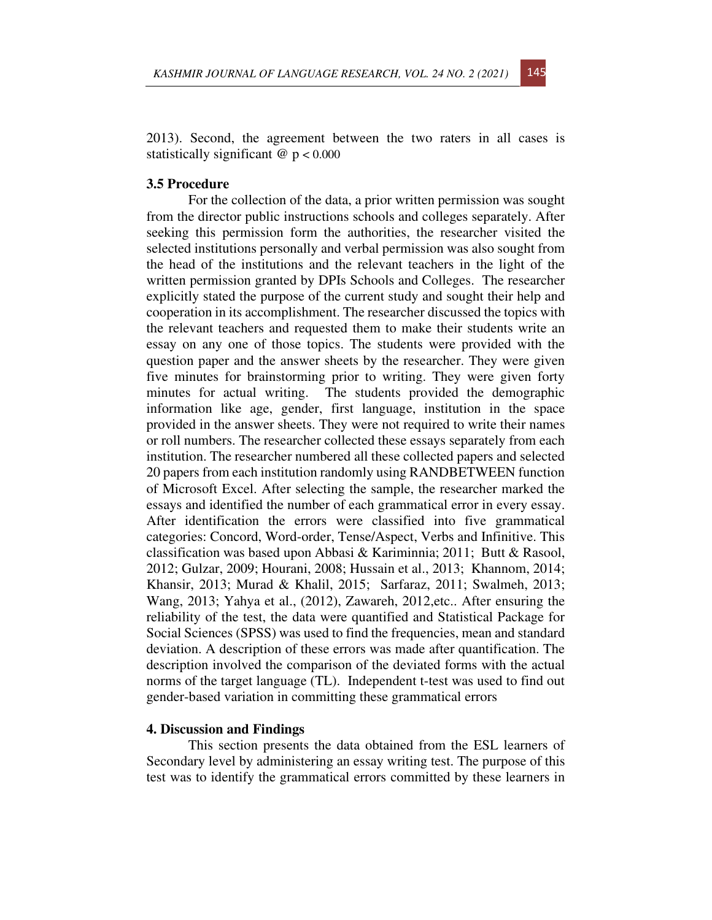

2013). Second, the agreement between the two raters in all cases is statistically significant @ p < 0.000

# **3.5 Procedure**

For the collection of the data, a prior written permission was sought from the director public instructions schools and colleges separately. After seeking this permission form the authorities, the researcher visited the selected institutions personally and verbal permission was also sought from the head of the institutions and the relevant teachers in the light of the written permission granted by DPIs Schools and Colleges. The researcher explicitly stated the purpose of the current study and sought their help and cooperation in its accomplishment. The researcher discussed the topics with the relevant teachers and requested them to make their students write an essay on any one of those topics. The students were provided with the question paper and the answer sheets by the researcher. They were given five minutes for brainstorming prior to writing. They were given forty minutes for actual writing. The students provided the demographic information like age, gender, first language, institution in the space provided in the answer sheets. They were not required to write their names or roll numbers. The researcher collected these essays separately from each institution. The researcher numbered all these collected papers and selected 20 papers from each institution randomly using RANDBETWEEN function of Microsoft Excel. After selecting the sample, the researcher marked the essays and identified the number of each grammatical error in every essay. After identification the errors were classified into five grammatical categories: Concord, Word-order, Tense/Aspect, Verbs and Infinitive. This classification was based upon Abbasi & Kariminnia; 2011; Butt & Rasool, 2012; Gulzar, 2009; Hourani, 2008; Hussain et al., 2013; Khannom, 2014; Khansir, 2013; Murad & Khalil, 2015; Sarfaraz, 2011; Swalmeh, 2013; Wang, 2013; Yahya et al., (2012), Zawareh, 2012,etc.. After ensuring the reliability of the test, the data were quantified and Statistical Package for Social Sciences (SPSS) was used to find the frequencies, mean and standard deviation. A description of these errors was made after quantification. The description involved the comparison of the deviated forms with the actual norms of the target language (TL). Independent t-test was used to find out gender-based variation in committing these grammatical errors

#### **4. Discussion and Findings**

This section presents the data obtained from the ESL learners of Secondary level by administering an essay writing test. The purpose of this test was to identify the grammatical errors committed by these learners in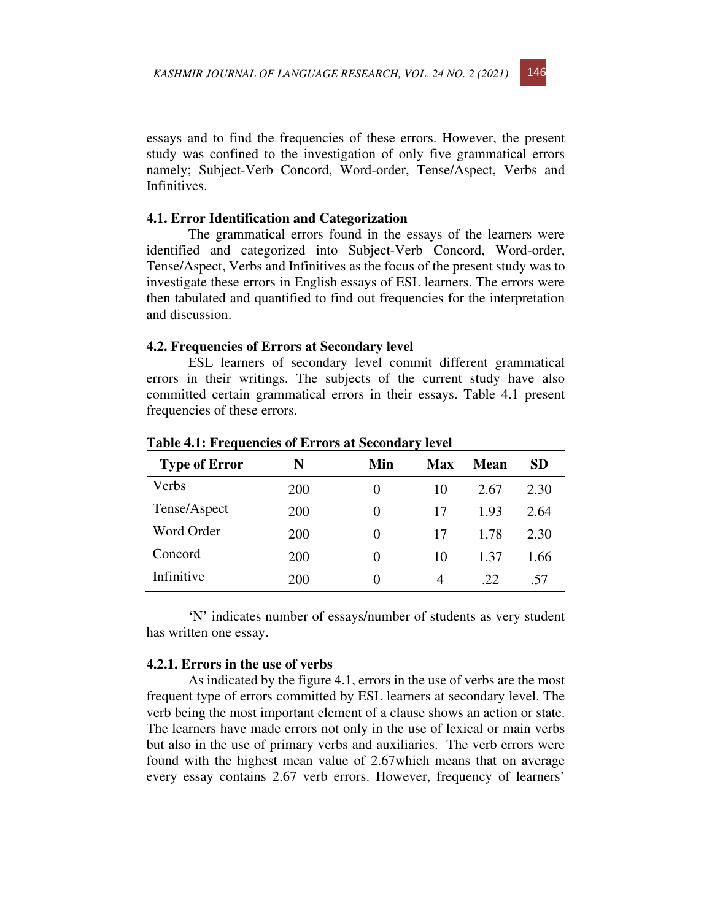essays and to find the frequencies of these errors. However, the present study was confined to the investigation of only five grammatical errors namely; Subject-Verb Concord, Word-order, Tense/Aspect, Verbs and Infinitives.

# **4.1. Error Identification and Categorization**

The grammatical errors found in the essays of the learners were identified and categorized into Subject-Verb Concord, Word-order, Tense/Aspect, Verbs and Infinitives as the focus of the present study was to investigate these errors in English essays of ESL learners. The errors were then tabulated and quantified to find out frequencies for the interpretation and discussion.

#### **4.2. Frequencies of Errors at Secondary level**

ESL learners of secondary level commit different grammatical errors in their writings. The subjects of the current study have also committed certain grammatical errors in their essays. Table 4.1 present frequencies of these errors.

| <b>Type of Error</b> | N          | Min      | <b>Max</b>     | Mean | SD   |
|----------------------|------------|----------|----------------|------|------|
| Verbs                | <b>200</b> | $\theta$ | 10             | 2.67 | 2.30 |
| Tense/Aspect         | <b>200</b> | $\theta$ | 17             | 1.93 | 2.64 |
| Word Order           | <b>200</b> | $\theta$ | 17             | 1.78 | 2.30 |
| Concord              | <b>200</b> | $\theta$ | 10             | 1.37 | 1.66 |
| Infinitive           | 200        | $\theta$ | $\overline{4}$ | .22  | .57  |

**Table 4.1: Frequencies of Errors at Secondary level**

'N' indicates number of essays/number of students as very student has written one essay.

## **4.2.1. Errors in the use of verbs**

As indicated by the figure 4.1, errors in the use of verbs are the most frequent type of errors committed by ESL learners at secondary level. The verb being the most important element of a clause shows an action or state. The learners have made errors not only in the use of lexical or main verbs but also in the use of primary verbs and auxiliaries. The verb errors were found with the highest mean value of 2.67which means that on average every essay contains 2.67 verb errors. However, frequency of learners'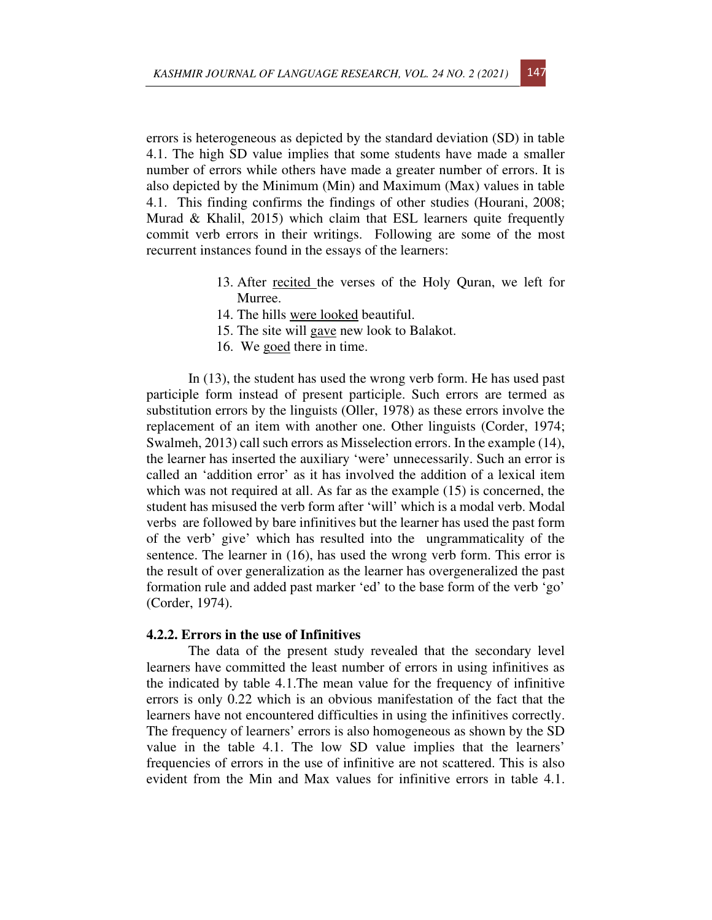errors is heterogeneous as depicted by the standard deviation (SD) in table 4.1. The high SD value implies that some students have made a smaller number of errors while others have made a greater number of errors. It is also depicted by the Minimum (Min) and Maximum (Max) values in table 4.1. This finding confirms the findings of other studies (Hourani, 2008; Murad & Khalil, 2015) which claim that ESL learners quite frequently commit verb errors in their writings. Following are some of the most recurrent instances found in the essays of the learners:

- 13. After recited the verses of the Holy Quran, we left for Murree.
- 14. The hills were looked beautiful.
- 15. The site will gave new look to Balakot.
- 16. We goed there in time.

In (13), the student has used the wrong verb form. He has used past participle form instead of present participle. Such errors are termed as substitution errors by the linguists (Oller, 1978) as these errors involve the replacement of an item with another one. Other linguists (Corder, 1974; Swalmeh, 2013) call such errors as Misselection errors. In the example (14), the learner has inserted the auxiliary 'were' unnecessarily. Such an error is called an 'addition error' as it has involved the addition of a lexical item which was not required at all. As far as the example (15) is concerned, the student has misused the verb form after 'will' which is a modal verb. Modal verbs are followed by bare infinitives but the learner has used the past form of the verb' give' which has resulted into the ungrammaticality of the sentence. The learner in (16), has used the wrong verb form. This error is the result of over generalization as the learner has overgeneralized the past formation rule and added past marker 'ed' to the base form of the verb 'go' (Corder, 1974).

#### **4.2.2. Errors in the use of Infinitives**

The data of the present study revealed that the secondary level learners have committed the least number of errors in using infinitives as the indicated by table 4.1.The mean value for the frequency of infinitive errors is only 0.22 which is an obvious manifestation of the fact that the learners have not encountered difficulties in using the infinitives correctly. The frequency of learners' errors is also homogeneous as shown by the SD value in the table 4.1. The low SD value implies that the learners' frequencies of errors in the use of infinitive are not scattered. This is also evident from the Min and Max values for infinitive errors in table 4.1.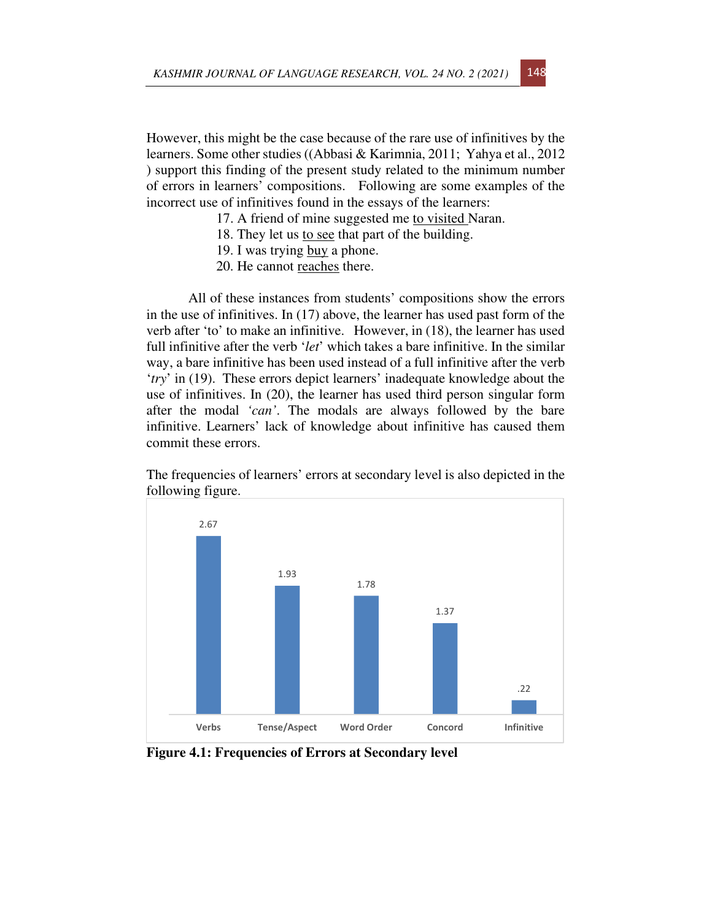However, this might be the case because of the rare use of infinitives by the learners. Some other studies ((Abbasi & Karimnia, 2011; Yahya et al., 2012 ) support this finding of the present study related to the minimum number of errors in learners' compositions. Following are some examples of the incorrect use of infinitives found in the essays of the learners:

- 17. A friend of mine suggested me to visited Naran.
- 18. They let us to see that part of the building.
- 19. I was trying buy a phone.
- 20. He cannot reaches there.

All of these instances from students' compositions show the errors in the use of infinitives. In (17) above, the learner has used past form of the verb after 'to' to make an infinitive. However, in (18), the learner has used full infinitive after the verb '*let*' which takes a bare infinitive. In the similar way, a bare infinitive has been used instead of a full infinitive after the verb '*try*' in (19). These errors depict learners' inadequate knowledge about the use of infinitives. In (20), the learner has used third person singular form after the modal *'can'*. The modals are always followed by the bare infinitive. Learners' lack of knowledge about infinitive has caused them commit these errors.

The frequencies of learners' errors at secondary level is also depicted in the following figure.



**Figure 4.1: Frequencies of Errors at Secondary level**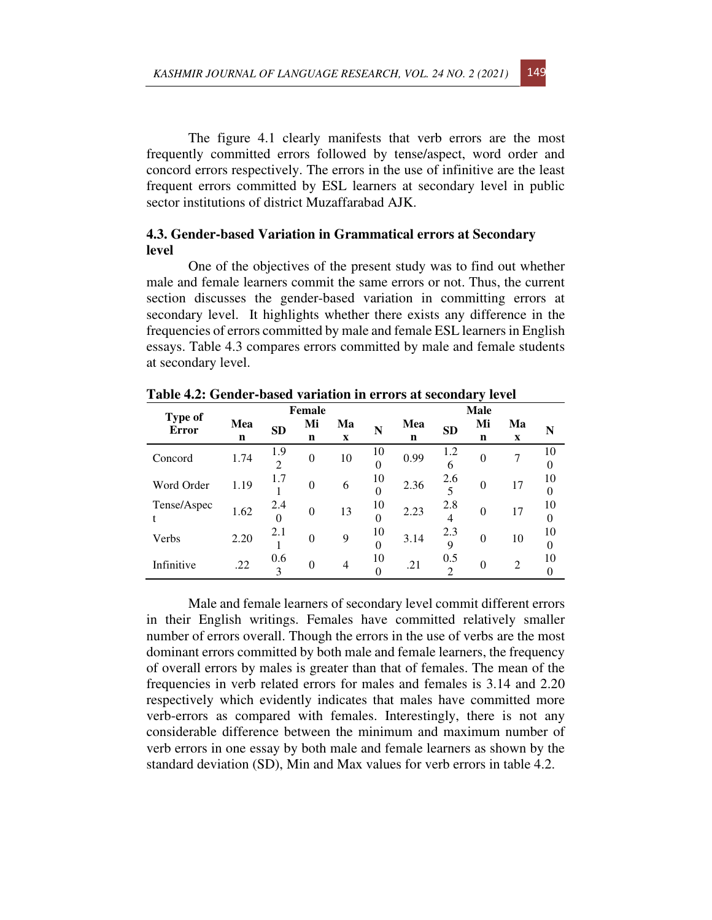The figure 4.1 clearly manifests that verb errors are the most frequently committed errors followed by tense/aspect, word order and concord errors respectively. The errors in the use of infinitive are the least frequent errors committed by ESL learners at secondary level in public sector institutions of district Muzaffarabad AJK.

# **4.3. Gender-based Variation in Grammatical errors at Secondary level**

One of the objectives of the present study was to find out whether male and female learners commit the same errors or not. Thus, the current section discusses the gender-based variation in committing errors at secondary level. It highlights whether there exists any difference in the frequencies of errors committed by male and female ESL learners in English essays. Table 4.3 compares errors committed by male and female students at secondary level.

|                                | Female   |                       |          |                   | <b>Male</b>    |          |                       |          |                   |         |
|--------------------------------|----------|-----------------------|----------|-------------------|----------------|----------|-----------------------|----------|-------------------|---------|
| <b>Type of</b><br><b>Error</b> | Mea<br>n | <b>SD</b>             | Mi<br>n  | Ma<br>$\mathbf X$ | N              | Mea<br>n | <b>SD</b>             | Mi<br>n  | Ma<br>$\mathbf X$ | N       |
| Concord                        | 1.74     | 1.9<br>$\mathfrak{D}$ | $\theta$ | 10                | 10<br>$\theta$ | 0.99     | 1.2<br>6              | $\theta$ |                   | 10<br>0 |
| Word Order                     | 1.19     | 1.7                   | $\theta$ | 6                 | 10<br>$\Omega$ | 2.36     | 2.6                   | $\theta$ | 17                | 10<br>0 |
| Tense/Aspec                    | 1.62     | 2.4<br>$\Omega$       | $\theta$ | 13                | 10<br>$\theta$ | 2.23     | 2.8<br>4              | $\theta$ | 17                | 10<br>0 |
| Verbs                          | 2.20     | 2.1                   | $\theta$ | 9                 | 10<br>$\theta$ | 3.14     | 2.3<br>$\mathbf Q$    | $\theta$ | 10                | 10<br>0 |
| Infinitive                     | .22      | 0.6<br>3              | $\Omega$ | $\overline{4}$    | 10             | .21      | 0.5<br>$\mathfrak{D}$ | $\theta$ | $\overline{2}$    | 10      |

**Table 4.2: Gender-based variation in errors at secondary level** 

Male and female learners of secondary level commit different errors in their English writings. Females have committed relatively smaller number of errors overall. Though the errors in the use of verbs are the most dominant errors committed by both male and female learners, the frequency of overall errors by males is greater than that of females. The mean of the frequencies in verb related errors for males and females is 3.14 and 2.20 respectively which evidently indicates that males have committed more verb-errors as compared with females. Interestingly, there is not any considerable difference between the minimum and maximum number of verb errors in one essay by both male and female learners as shown by the standard deviation (SD), Min and Max values for verb errors in table 4.2.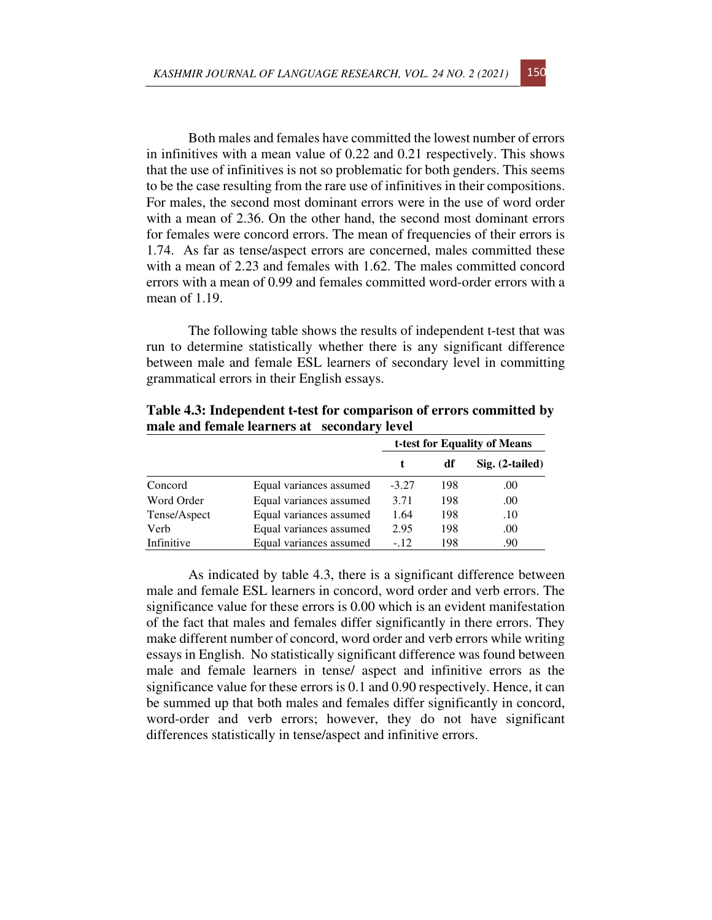Both males and females have committed the lowest number of errors in infinitives with a mean value of 0.22 and 0.21 respectively. This shows that the use of infinitives is not so problematic for both genders. This seems to be the case resulting from the rare use of infinitives in their compositions. For males, the second most dominant errors were in the use of word order with a mean of 2.36. On the other hand, the second most dominant errors for females were concord errors. The mean of frequencies of their errors is 1.74. As far as tense/aspect errors are concerned, males committed these with a mean of 2.23 and females with 1.62. The males committed concord errors with a mean of 0.99 and females committed word-order errors with a mean of 1.19.

The following table shows the results of independent t-test that was run to determine statistically whether there is any significant difference between male and female ESL learners of secondary level in committing grammatical errors in their English essays.

|              |                         | t-test for Equality of Means |     |                   |  |
|--------------|-------------------------|------------------------------|-----|-------------------|--|
|              |                         |                              | df  | $Sig. (2-tailed)$ |  |
| Concord      | Equal variances assumed | $-3.27$                      | 198 | .00               |  |
| Word Order   | Equal variances assumed | 3.71                         | 198 | .00               |  |
| Tense/Aspect | Equal variances assumed | 1.64                         | 198 | .10               |  |
| Verb         | Equal variances assumed | 2.95                         | 198 | .00               |  |
| Infinitive   | Equal variances assumed | $-.12$                       | 198 | .90               |  |

**Table 4.3: Independent t-test for comparison of errors committed by male and female learners at secondary level** 

As indicated by table 4.3, there is a significant difference between male and female ESL learners in concord, word order and verb errors. The significance value for these errors is 0.00 which is an evident manifestation of the fact that males and females differ significantly in there errors. They make different number of concord, word order and verb errors while writing essays in English. No statistically significant difference was found between male and female learners in tense/ aspect and infinitive errors as the significance value for these errors is 0.1 and 0.90 respectively. Hence, it can be summed up that both males and females differ significantly in concord, word-order and verb errors; however, they do not have significant differences statistically in tense/aspect and infinitive errors.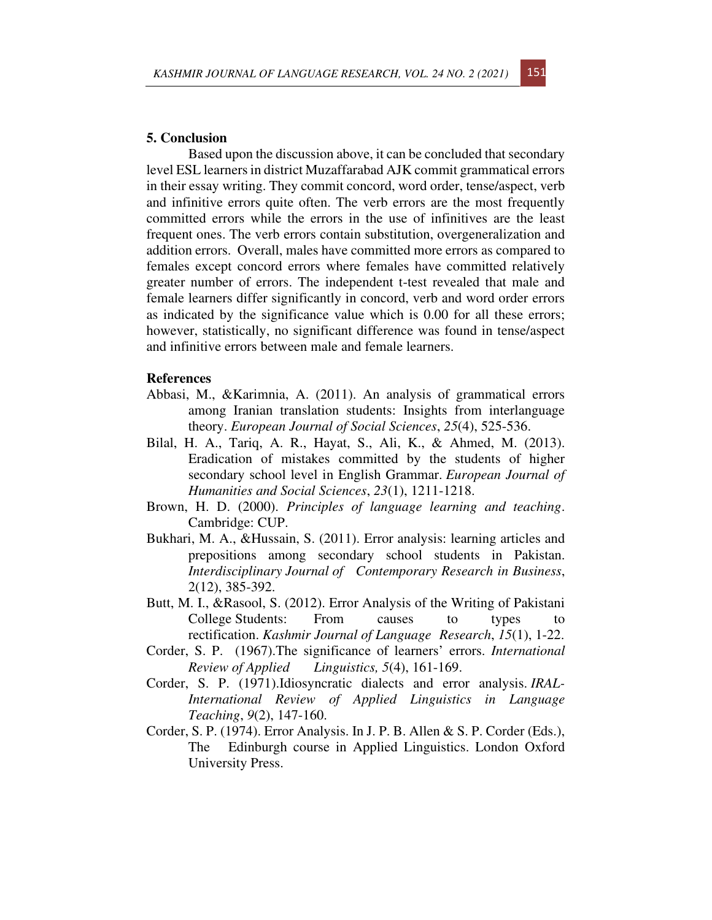### **5. Conclusion**

Based upon the discussion above, it can be concluded that secondary level ESL learners in district Muzaffarabad AJK commit grammatical errors in their essay writing. They commit concord, word order, tense/aspect, verb and infinitive errors quite often. The verb errors are the most frequently committed errors while the errors in the use of infinitives are the least frequent ones. The verb errors contain substitution, overgeneralization and addition errors. Overall, males have committed more errors as compared to females except concord errors where females have committed relatively greater number of errors. The independent t-test revealed that male and female learners differ significantly in concord, verb and word order errors as indicated by the significance value which is 0.00 for all these errors; however, statistically, no significant difference was found in tense/aspect and infinitive errors between male and female learners.

## **References**

- Abbasi, M., &Karimnia, A. (2011). An analysis of grammatical errors among Iranian translation students: Insights from interlanguage theory. *European Journal of Social Sciences*, *25*(4), 525-536.
- Bilal, H. A., Tariq, A. R., Hayat, S., Ali, K., & Ahmed, M. (2013). Eradication of mistakes committed by the students of higher secondary school level in English Grammar. *European Journal of Humanities and Social Sciences*, *23*(1), 1211-1218.
- Brown, H. D. (2000). *Principles of language learning and teaching*. Cambridge: CUP.
- Bukhari, M. A., &Hussain, S. (2011). Error analysis: learning articles and prepositions among secondary school students in Pakistan. *Interdisciplinary Journal of Contemporary Research in Business*, 2(12), 385-392.
- Butt, M. I., &Rasool, S. (2012). Error Analysis of the Writing of Pakistani College Students: From causes to types to rectification. *Kashmir Journal of Language Research*, *15*(1), 1-22.
- Corder, S. P. (1967).The significance of learners' errors. *International Review of Applied Linguistics, 5*(4), 161-169.
- Corder, S. P. (1971).Idiosyncratic dialects and error analysis. *IRAL-International Review of Applied Linguistics in Language Teaching*, *9*(2), 147-160.
- Corder, S. P. (1974). Error Analysis. In J. P. B. Allen & S. P. Corder (Eds.), The Edinburgh course in Applied Linguistics. London Oxford University Press.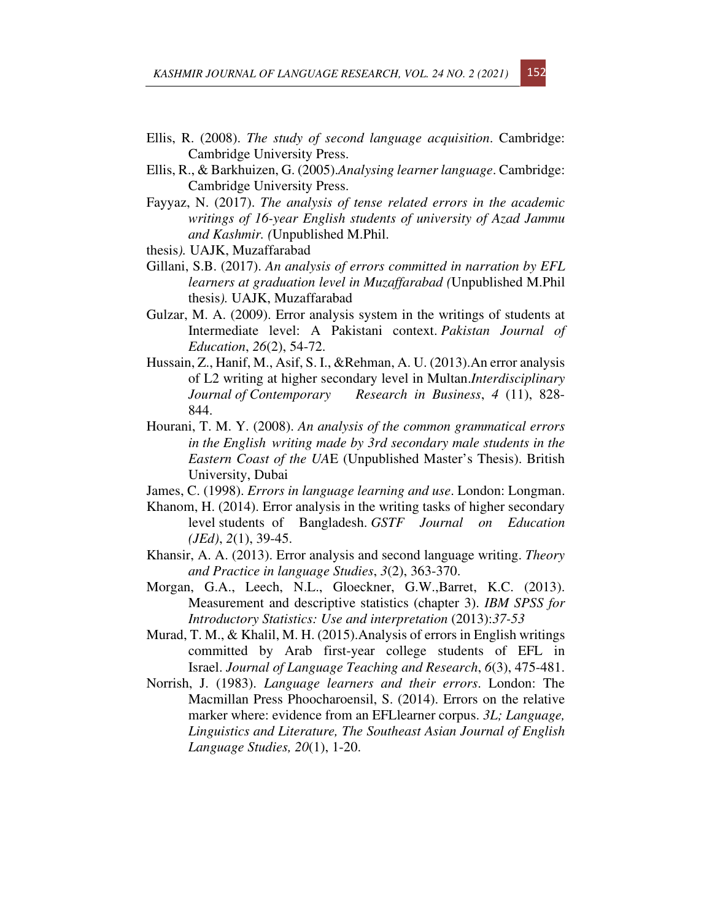- Ellis, R. (2008). *The study of second language acquisition*. Cambridge: Cambridge University Press.
- Ellis, R., & Barkhuizen, G. (2005).*Analysing learner language*. Cambridge: Cambridge University Press.
- Fayyaz, N. (2017). *The analysis of tense related errors in the academic writings of 16-year English students of university of Azad Jammu and Kashmir. (*Unpublished M.Phil.
- thesis*).* UAJK, Muzaffarabad
- Gillani, S.B. (2017). *An analysis of errors committed in narration by EFL learners at graduation level in Muzaffarabad (*Unpublished M.Phil thesis*).* UAJK, Muzaffarabad
- Gulzar, M. A. (2009). Error analysis system in the writings of students at Intermediate level: A Pakistani context. *Pakistan Journal of Education*, *26*(2), 54-72.
- Hussain, Z., Hanif, M., Asif, S. I., &Rehman, A. U. (2013).An error analysis of L2 writing at higher secondary level in Multan.*Interdisciplinary Journal of Contemporary Research in Business*, *4* (11), 828- 844.
- Hourani, T. M. Y. (2008). *An analysis of the common grammatical errors in the English writing made by 3rd secondary male students in the Eastern Coast of the UA*E (Unpublished Master's Thesis). British University, Dubai
- James, C. (1998). *Errors in language learning and use*. London: Longman.
- Khanom, H. (2014). Error analysis in the writing tasks of higher secondary level students of Bangladesh. *GSTF Journal on Education (JEd)*, *2*(1), 39-45.
- Khansir, A. A. (2013). Error analysis and second language writing. *Theory and Practice in language Studies*, *3*(2), 363-370.
- Morgan, G.A., Leech, N.L., Gloeckner, G.W.,Barret, K.C. (2013). Measurement and descriptive statistics (chapter 3). *IBM SPSS for Introductory Statistics: Use and interpretation* (2013):*37-53*
- Murad, T. M., & Khalil, M. H. (2015).Analysis of errors in English writings committed by Arab first-year college students of EFL in Israel. *Journal of Language Teaching and Research*, *6*(3), 475-481.
- Norrish, J. (1983). *Language learners and their errors*. London: The Macmillan Press Phoocharoensil, S. (2014). Errors on the relative marker where: evidence from an EFLlearner corpus. *3L; Language, Linguistics and Literature, The Southeast Asian Journal of English Language Studies, 20*(1), 1-20.